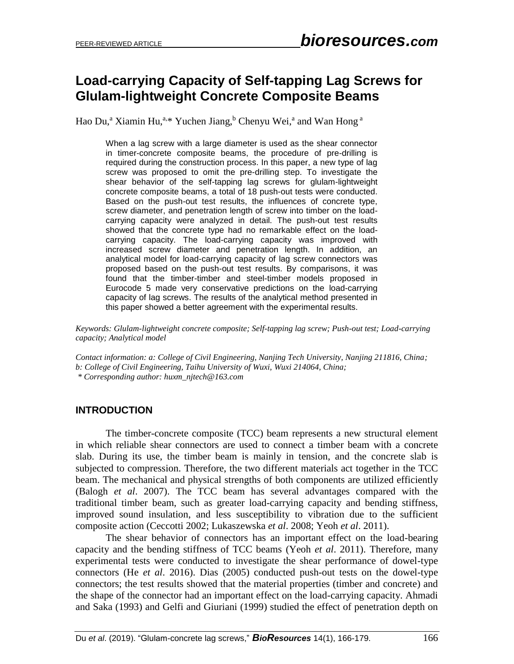# **Load-carrying Capacity of Self-tapping Lag Screws for Glulam-lightweight Concrete Composite Beams**

Hao Du,<sup>a</sup> Xiamin Hu,<sup>a,\*</sup> Yuchen Jiang,<sup>b</sup> Chenyu Wei,<sup>a</sup> and Wan Hong<sup>a</sup>

When a lag screw with a large diameter is used as the shear connector in timer-concrete composite beams, the procedure of pre-drilling is required during the construction process. In this paper, a new type of lag screw was proposed to omit the pre-drilling step. To investigate the shear behavior of the self-tapping lag screws for glulam-lightweight concrete composite beams, a total of 18 push-out tests were conducted. Based on the push-out test results, the influences of concrete type, screw diameter, and penetration length of screw into timber on the loadcarrying capacity were analyzed in detail. The push-out test results showed that the concrete type had no remarkable effect on the loadcarrying capacity. The load-carrying capacity was improved with increased screw diameter and penetration length. In addition, an analytical model for load-carrying capacity of lag screw connectors was proposed based on the push-out test results. By comparisons, it was found that the timber-timber and steel-timber models proposed in Eurocode 5 made very conservative predictions on the load-carrying capacity of lag screws. The results of the analytical method presented in this paper showed a better agreement with the experimental results.

*Keywords: Glulam-lightweight concrete composite; Self-tapping lag screw; Push-out test; Load-carrying capacity; Analytical model*

*Contact information: a: College of Civil Engineering, Nanjing Tech University, Nanjing 211816, China; b: College of Civil Engineering, Taihu University of Wuxi, Wuxi 214064, China; \* Corresponding author: huxm\_njtech@163.com*

# **INTRODUCTION**

The timber-concrete composite (TCC) beam represents a new structural element in which reliable shear connectors are used to connect a timber beam with a concrete slab. During its use, the timber beam is mainly in tension, and the concrete slab is subjected to compression. Therefore, the two different materials act together in the TCC beam. The mechanical and physical strengths of both components are utilized efficiently (Balogh *et al*. 2007). The TCC beam has several advantages compared with the traditional timber beam, such as greater load-carrying capacity and bending stiffness, improved sound insulation, and less susceptibility to vibration due to the sufficient composite action (Ceccotti 2002; Lukaszewska *et al*. 2008; Yeoh *et al*. 2011).

The shear behavior of connectors has an important effect on the load-bearing capacity and the bending stiffness of TCC beams (Yeoh *et al*. 2011). Therefore, many experimental tests were conducted to investigate the shear performance of dowel-type connectors (He *et al*. 2016). Dias (2005) conducted push-out tests on the dowel-type connectors; the test results showed that the material properties (timber and concrete) and the shape of the connector had an important effect on the load-carrying capacity. Ahmadi and Saka (1993) and Gelfi and Giuriani (1999) studied the effect of penetration depth on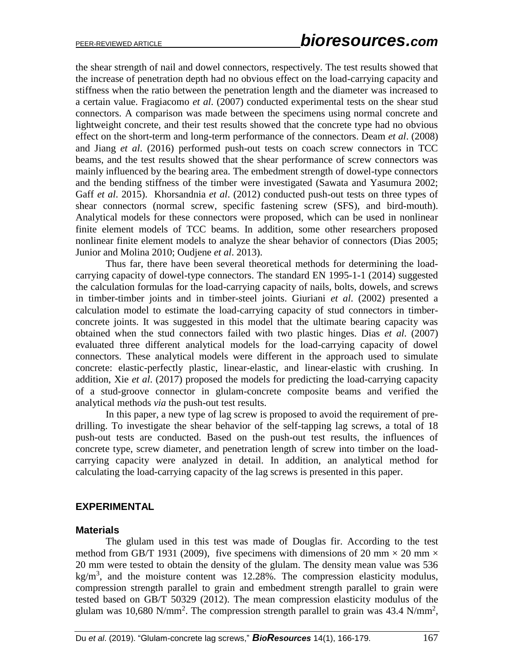the shear strength of nail and dowel connectors, respectively. The test results showed that the increase of penetration depth had no obvious effect on the load-carrying capacity and stiffness when the ratio between the penetration length and the diameter was increased to a certain value. Fragiacomo *et al*. (2007) conducted experimental tests on the shear stud connectors. A comparison was made between the specimens using normal concrete and lightweight concrete, and their test results showed that the concrete type had no obvious effect on the short-term and long-term performance of the connectors. Deam *et al*. (2008) and Jiang *et al*. (2016) performed push-out tests on coach screw connectors in TCC beams, and the test results showed that the shear performance of screw connectors was mainly influenced by the bearing area. The embedment strength of dowel-type connectors and the bending stiffness of the timber were investigated (Sawata and Yasumura 2002; Gaff *et al*. 2015). Khorsandnia *et al*. (2012) conducted push-out tests on three types of shear connectors (normal screw, specific fastening screw (SFS), and bird-mouth). Analytical models for these connectors were proposed, which can be used in nonlinear finite element models of TCC beams. In addition, some other researchers proposed nonlinear finite element models to analyze the shear behavior of connectors (Dias 2005; Junior and Molina 2010; Oudjene *et al*. 2013).

Thus far, there have been several theoretical methods for determining the loadcarrying capacity of dowel-type connectors. The standard EN 1995-1-1 (2014) suggested the calculation formulas for the load-carrying capacity of nails, bolts, dowels, and screws in timber-timber joints and in timber-steel joints. Giuriani *et al*. (2002) presented a calculation model to estimate the load-carrying capacity of stud connectors in timberconcrete joints. It was suggested in this model that the ultimate bearing capacity was obtained when the stud connectors failed with two plastic hinges. Dias *et al*. (2007) evaluated three different analytical models for the load-carrying capacity of dowel connectors. These analytical models were different in the approach used to simulate concrete: elastic-perfectly plastic, linear-elastic, and linear-elastic with crushing. In addition, Xie *et al*. (2017) proposed the models for predicting the load-carrying capacity of a stud-groove connector in glulam-concrete composite beams and verified the analytical methods *via* the push-out test results.

In this paper, a new type of lag screw is proposed to avoid the requirement of predrilling. To investigate the shear behavior of the self-tapping lag screws, a total of 18 push-out tests are conducted. Based on the push-out test results, the influences of concrete type, screw diameter, and penetration length of screw into timber on the loadcarrying capacity were analyzed in detail. In addition, an analytical method for calculating the load-carrying capacity of the lag screws is presented in this paper.

## **EXPERIMENTAL**

#### **Materials**

The glulam used in this test was made of Douglas fir. According to the test method from GB/T 1931 (2009), five specimens with dimensions of 20 mm  $\times$  20 mm  $\times$ 20 mm were tested to obtain the density of the glulam. The density mean value was 536 kg/m<sup>3</sup>, and the moisture content was 12.28%. The compression elasticity modulus, compression strength parallel to grain and embedment strength parallel to grain were tested based on GB/T 50329 (2012). The mean compression elasticity modulus of the glulam was 10,680 N/mm<sup>2</sup>. The compression strength parallel to grain was 43.4 N/mm<sup>2</sup>,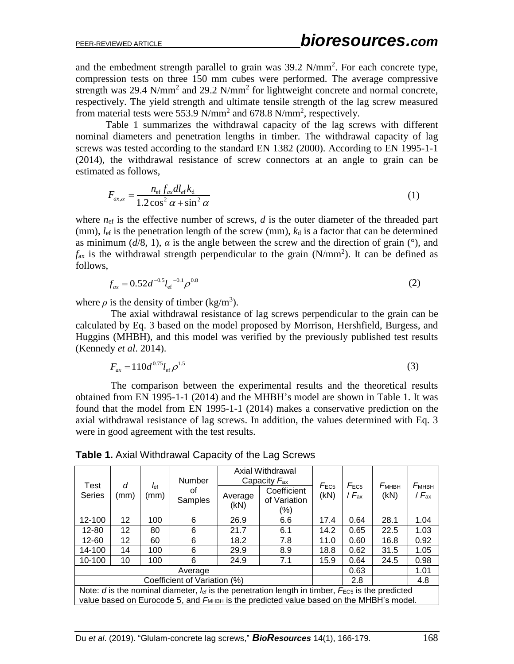and the embedment strength parallel to grain was  $39.2 \text{ N/mm}^2$ . For each concrete type, compression tests on three 150 mm cubes were performed. The average compressive strength was 29.4 N/mm<sup>2</sup> and 29.2 N/mm<sup>2</sup> for lightweight concrete and normal concrete, respectively. The yield strength and ultimate tensile strength of the lag screw measured from material tests were 553.9 N/mm<sup>2</sup> and 678.8 N/mm<sup>2</sup>, respectively.

Table 1 summarizes the withdrawal capacity of the lag screws with different nominal diameters and penetration lengths in timber. The withdrawal capacity of lag screws was tested according to the standard EN 1382 (2000). According to EN 1995-1-1 (2014), the withdrawal resistance of screw connectors at an angle to grain can be estimated as follows,

$$
F_{\alpha x,\alpha} = \frac{n_{\text{ef}} f_{\alpha x} dl_{\text{ef}} k_{\text{d}}}{1.2 \cos^2 \alpha + \sin^2 \alpha}
$$
 (1)

where  $n_{\text{ef}}$  is the effective number of screws,  $d$  is the outer diameter of the threaded part (mm),  $l_{\text{ef}}$  is the penetration length of the screw (mm),  $k_d$  is a factor that can be determined as minimum  $(d/8, 1)$ ,  $\alpha$  is the angle between the screw and the direction of grain ( $\degree$ ), and  $f_{ax}$  is the withdrawal strength perpendicular to the grain (N/mm<sup>2</sup>). It can be defined as follows,

$$
f_{ax} = 0.52d^{-0.5}l_{\rm ef}^{-0.1}\rho^{0.8}
$$
 (2)

where  $\rho$  is the density of timber (kg/m<sup>3</sup>).

 The axial withdrawal resistance of lag screws perpendicular to the grain can be calculated by Eq. 3 based on the model proposed by Morrison, Hershfield, Burgess, and Huggins (MHBH), and this model was verified by the previously published test results (Kennedy *et al*. 2014).

$$
F_{ax} = 110d^{0.75}l_{\rm ef} \rho^{1.5} \tag{3}
$$

 The comparison between the experimental results and the theoretical results obtained from EN 1995-1-1 (2014) and the MHBH's model are shown in Table 1. It was found that the model from EN 1995-1-1 (2014) makes a conservative prediction on the axial withdrawal resistance of lag screws. In addition, the values determined with Eq. 3 were in good agreement with the test results.

**Table 1.** Axial Withdrawal Capacity of the Lag Screws

| Test<br><b>Series</b>                                                                                                                                                                                                         | d<br>(mm) | $\int_{\text{ef}}$<br>(mm) | <b>Number</b><br>οf<br>Samples | Average<br>(KN) | Axial Withdrawal<br>Capacity $F_{\text{ax}}$<br>Coefficient<br>of Variation<br>(%) | $F_{EC5}$<br>(kN) | $F_{EC5}$<br>/ $F_{\rm ax}$ | <b><i><u>Бмнвн</u></i></b><br>(kN) | <b><i><u>FMHBH</u></i></b><br>/ $F_{\rm ax}$ |
|-------------------------------------------------------------------------------------------------------------------------------------------------------------------------------------------------------------------------------|-----------|----------------------------|--------------------------------|-----------------|------------------------------------------------------------------------------------|-------------------|-----------------------------|------------------------------------|----------------------------------------------|
| 12-100                                                                                                                                                                                                                        | 12        | 100                        | 6                              | 26.9            | 6.6                                                                                | 17.4              | 0.64                        | 28.1                               | 1.04                                         |
| 12-80                                                                                                                                                                                                                         | 12        | 80                         | 6                              | 21.7            | 6.1                                                                                | 14.2              | 0.65                        | 22.5                               | 1.03                                         |
| 12-60                                                                                                                                                                                                                         | 12        | 60                         | 6                              | 18.2            | 7.8                                                                                | 11.0              | 0.60                        | 16.8                               | 0.92                                         |
| 14-100                                                                                                                                                                                                                        | 14        | 100                        | 6                              | 29.9            | 8.9                                                                                | 18.8              | 0.62                        | 31.5                               | 1.05                                         |
| 10-100                                                                                                                                                                                                                        | 10        | 100                        | 6                              | 24.9            | 7.1                                                                                | 15.9              | 0.64                        | 24.5                               | 0.98                                         |
| Average                                                                                                                                                                                                                       |           |                            |                                |                 |                                                                                    | 0.63              |                             | 1.01                               |                                              |
| Coefficient of Variation (%)                                                                                                                                                                                                  |           |                            |                                |                 |                                                                                    | 2.8               |                             | 4.8                                |                                              |
| Note: d is the nominal diameter, $I_{\text{ef}}$ is the penetration length in timber, $F_{\text{EC5}}$ is the predicted<br>value based on Eurocode 5, and F <sub>MHBH</sub> is the predicted value based on the MHBH's model. |           |                            |                                |                 |                                                                                    |                   |                             |                                    |                                              |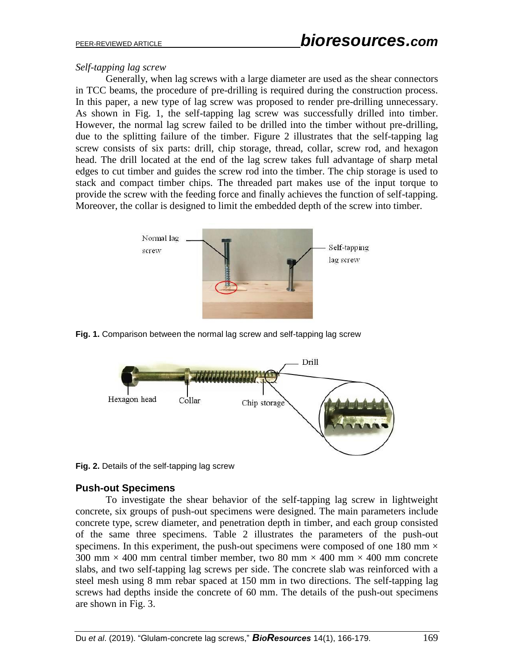## *Self-tapping lag screw*

Generally, when lag screws with a large diameter are used as the shear connectors in TCC beams, the procedure of pre-drilling is required during the construction process. In this paper, a new type of lag screw was proposed to render pre-drilling unnecessary. As shown in Fig. 1, the self-tapping lag screw was successfully drilled into timber. However, the normal lag screw failed to be drilled into the timber without pre-drilling, due to the splitting failure of the timber. Figure 2 illustrates that the self-tapping lag screw consists of six parts: drill, chip storage, thread, collar, screw rod, and hexagon head. The drill located at the end of the lag screw takes full advantage of sharp metal edges to cut timber and guides the screw rod into the timber. The chip storage is used to stack and compact timber chips. The threaded part makes use of the input torque to provide the screw with the feeding force and finally achieves the function of self-tapping. Moreover, the collar is designed to limit the embedded depth of the screw into timber.



**Fig. 1.** Comparison between the normal lag screw and self-tapping lag screw



**Fig. 2.** Details of the self-tapping lag screw

## **Push-out Specimens**

To investigate the shear behavior of the self-tapping lag screw in lightweight concrete, six groups of push-out specimens were designed. The main parameters include concrete type, screw diameter, and penetration depth in timber, and each group consisted of the same three specimens. Table 2 illustrates the parameters of the push-out specimens. In this experiment, the push-out specimens were composed of one 180 mm  $\times$ 300 mm  $\times$  400 mm central timber member, two 80 mm  $\times$  400 mm  $\times$  400 mm concrete slabs, and two self-tapping lag screws per side. The concrete slab was reinforced with a steel mesh using 8 mm rebar spaced at 150 mm in two directions. The self-tapping lag screws had depths inside the concrete of 60 mm. The details of the push-out specimens are shown in Fig. 3.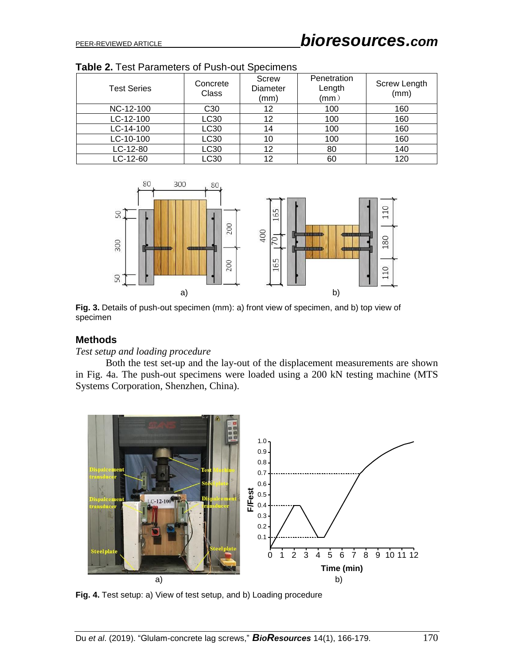| <b>Test Series</b> | Concrete<br>Class | Screw<br>Diameter<br>(mm) | Penetration<br>Length<br>$\mathsf{(mm)}$ | <b>Screw Length</b><br>(mm) |
|--------------------|-------------------|---------------------------|------------------------------------------|-----------------------------|
| NC-12-100          | C <sub>30</sub>   | 12                        | 100                                      | 160                         |
| LC-12-100          | LC30              | 12                        | 100                                      | 160                         |
| LC-14-100          | LC30              | 14                        | 100                                      | 160                         |
| LC-10-100          | LC30              | 10                        | 100                                      | 160                         |
| LC-12-80           | LC30              | 12                        | 80                                       | 140                         |
| LC-12-60           | LC30              | 12                        | 60                                       | 120                         |

**Table 2.** Test Parameters of Push-out Specimens



**Fig. 3.** Details of push-out specimen (mm): a) front view of specimen, and b) top view of specimen

## **Methods**

*Test setup and loading procedure*

Both the test set-up and the lay-out of the displacement measurements are shown in Fig. 4a. The push-out specimens were loaded using a 200 kN testing machine (MTS Systems Corporation, Shenzhen, China).



**Fig. 4.** Test setup: a) View of test setup, and b) Loading procedure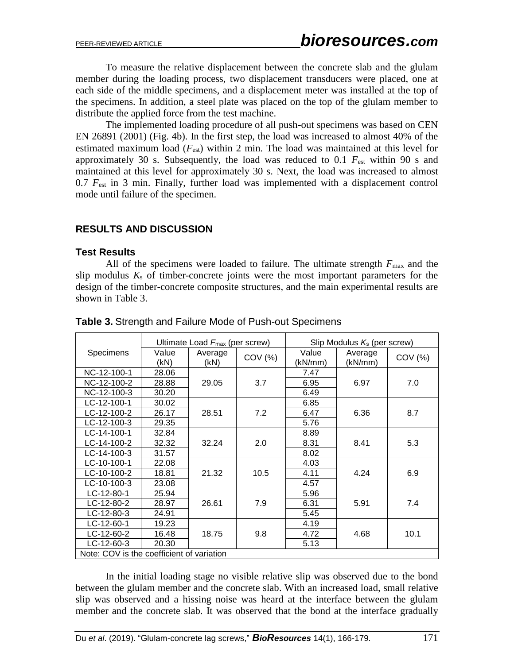To measure the relative displacement between the concrete slab and the glulam member during the loading process, two displacement transducers were placed, one at each side of the middle specimens, and a displacement meter was installed at the top of the specimens. In addition, a steel plate was placed on the top of the glulam member to distribute the applied force from the test machine.

The implemented loading procedure of all push-out specimens was based on CEN EN 26891 (2001) (Fig. 4b). In the first step, the load was increased to almost 40% of the estimated maximum load (*F*est) within 2 min. The load was maintained at this level for approximately 30 s. Subsequently, the load was reduced to 0.1 *F*est within 90 s and maintained at this level for approximately 30 s. Next, the load was increased to almost 0.7  $F_{\text{est}}$  in 3 min. Finally, further load was implemented with a displacement control mode until failure of the specimen.

## **RESULTS AND DISCUSSION**

#### **Test Results**

All of the specimens were loaded to failure. The ultimate strength  $F_{\text{max}}$  and the slip modulus  $K<sub>s</sub>$  of timber-concrete joints were the most important parameters for the design of the timber-concrete composite structures, and the main experimental results are shown in Table 3.

|                                           |               | Ultimate Load $F_{\text{max}}$ (per screw) |         | Slip Modulus $K_s$ (per screw) |                    |         |  |
|-------------------------------------------|---------------|--------------------------------------------|---------|--------------------------------|--------------------|---------|--|
| Specimens                                 | Value<br>(kN) | Average<br>(KN)                            | COV (%) | Value<br>(kN/mm)               | Average<br>(kN/mm) | COV (%) |  |
| NC-12-100-1                               | 28.06         |                                            |         | 7.47                           |                    |         |  |
| NC-12-100-2                               | 28.88         | 29.05                                      | 3.7     | 6.95                           | 6.97               | 7.0     |  |
| NC-12-100-3                               | 30.20         |                                            |         | 6.49                           |                    |         |  |
| LC-12-100-1                               | 30.02         |                                            |         | 6.85                           |                    |         |  |
| LC-12-100-2                               | 26.17         | 28.51                                      | 7.2     | 6.47                           | 6.36               | 8.7     |  |
| LC-12-100-3                               | 29.35         |                                            |         | 5.76                           |                    |         |  |
| LC-14-100-1                               | 32.84         |                                            |         | 8.89                           |                    |         |  |
| LC-14-100-2                               | 32.32         | 32.24                                      | 2.0     | 8.31                           | 8.41               | 5.3     |  |
| LC-14-100-3                               | 31.57         |                                            |         | 8.02                           |                    |         |  |
| LC-10-100-1                               | 22.08         |                                            |         | 4.03                           |                    |         |  |
| LC-10-100-2                               | 18.81         | 21.32                                      | 10.5    | 4.11                           | 4.24               | 6.9     |  |
| LC-10-100-3                               | 23.08         |                                            |         | 4.57                           |                    |         |  |
| $LC - 12 - 80 - 1$                        | 25.94         |                                            |         | 5.96                           |                    |         |  |
| LC-12-80-2                                | 28.97         | 26.61                                      | 7.9     | 6.31                           | 5.91               | 7.4     |  |
| LC-12-80-3                                | 24.91         |                                            |         | 5.45                           |                    |         |  |
| $LC-12-60-1$                              | 19.23         |                                            |         | 4.19                           |                    |         |  |
| $LC-12-60-2$                              | 16.48         | 18.75                                      | 9.8     | 4.72                           | 4.68               | 10.1    |  |
| $LC-12-60-3$                              | 20.30         |                                            |         | 5.13                           |                    |         |  |
| Note: COV is the coefficient of variation |               |                                            |         |                                |                    |         |  |

**Table 3.** Strength and Failure Mode of Push-out Specimens

In the initial loading stage no visible relative slip was observed due to the bond between the glulam member and the concrete slab. With an increased load, small relative slip was observed and a hissing noise was heard at the interface between the glulam member and the concrete slab. It was observed that the bond at the interface gradually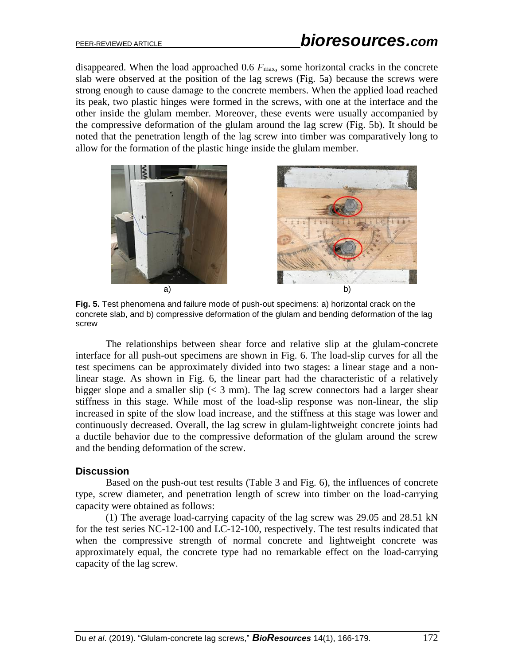disappeared. When the load approached  $0.6 F_{\text{max}}$ , some horizontal cracks in the concrete slab were observed at the position of the lag screws (Fig. 5a) because the screws were strong enough to cause damage to the concrete members. When the applied load reached its peak, two plastic hinges were formed in the screws, with one at the interface and the other inside the glulam member. Moreover, these events were usually accompanied by the compressive deformation of the glulam around the lag screw (Fig. 5b). It should be noted that the penetration length of the lag screw into timber was comparatively long to allow for the formation of the plastic hinge inside the glulam member.



**Fig. 5.** Test phenomena and failure mode of push-out specimens: a) horizontal crack on the concrete slab, and b) compressive deformation of the glulam and bending deformation of the lag screw

The relationships between shear force and relative slip at the glulam-concrete interface for all push-out specimens are shown in Fig. 6. The load-slip curves for all the test specimens can be approximately divided into two stages: a linear stage and a nonlinear stage. As shown in Fig. 6, the linear part had the characteristic of a relatively bigger slope and a smaller slip  $\langle \cdot \rangle$  3 mm). The lag screw connectors had a larger shear stiffness in this stage. While most of the load-slip response was non-linear, the slip increased in spite of the slow load increase, and the stiffness at this stage was lower and continuously decreased. Overall, the lag screw in glulam-lightweight concrete joints had a ductile behavior due to the compressive deformation of the glulam around the screw and the bending deformation of the screw.

#### **Discussion**

Based on the push-out test results (Table 3 and Fig. 6), the influences of concrete type, screw diameter, and penetration length of screw into timber on the load-carrying capacity were obtained as follows:

(1) The average load-carrying capacity of the lag screw was 29.05 and 28.51 kN for the test series NC-12-100 and LC-12-100, respectively. The test results indicated that when the compressive strength of normal concrete and lightweight concrete was approximately equal, the concrete type had no remarkable effect on the load-carrying capacity of the lag screw.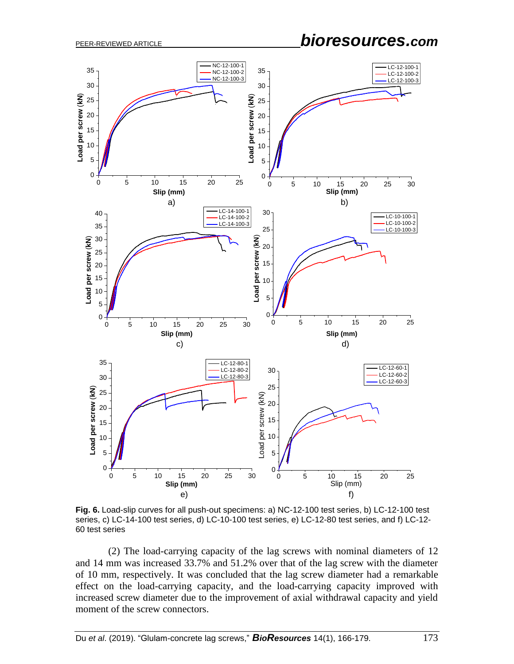PEER-REVIEWED ARTICLE *bioresources.com*



**Fig. 6.** Load-slip curves for all push-out specimens: a) NC-12-100 test series, b) LC-12-100 test series, c) LC-14-100 test series, d) LC-10-100 test series, e) LC-12-80 test series, and f) LC-12- 60 test series

(2) The load-carrying capacity of the lag screws with nominal diameters of 12 and 14 mm was increased 33.7% and 51.2% over that of the lag screw with the diameter of 10 mm, respectively. It was concluded that the lag screw diameter had a remarkable effect on the load-carrying capacity, and the load-carrying capacity improved with increased screw diameter due to the improvement of axial withdrawal capacity and yield moment of the screw connectors.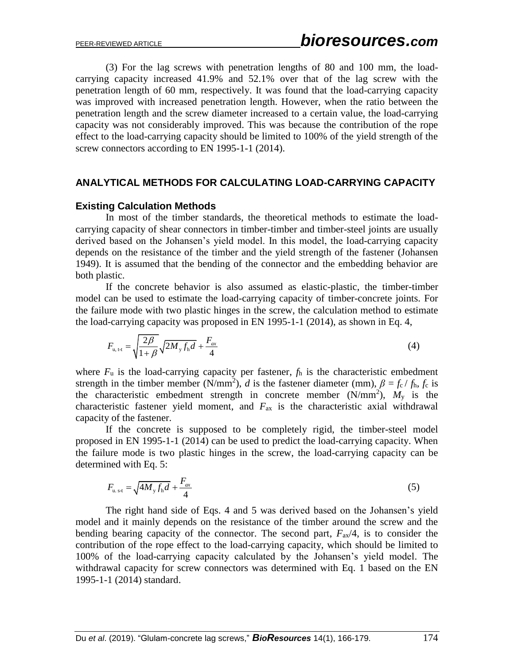(3) For the lag screws with penetration lengths of 80 and 100 mm, the loadcarrying capacity increased 41.9% and 52.1% over that of the lag screw with the penetration length of 60 mm, respectively. It was found that the load-carrying capacity was improved with increased penetration length. However, when the ratio between the penetration length and the screw diameter increased to a certain value, the load-carrying capacity was not considerably improved. This was because the contribution of the rope effect to the load-carrying capacity should be limited to 100% of the yield strength of the screw connectors according to EN 1995-1-1 (2014).

## **ANALYTICAL METHODS FOR CALCULATING LOAD-CARRYING CAPACITY**

#### **Existing Calculation Methods**

In most of the timber standards, the theoretical methods to estimate the loadcarrying capacity of shear connectors in timber-timber and timber-steel joints are usually derived based on the Johansen's yield model. In this model, the load-carrying capacity depends on the resistance of the timber and the yield strength of the fastener (Johansen 1949). It is assumed that the bending of the connector and the embedding behavior are both plastic.

If the concrete behavior is also assumed as elastic-plastic, the timber-timber model can be used to estimate the load-carrying capacity of timber-concrete joints. For the failure mode with two plastic hinges in the screw, the calculation method to estimate the load-carrying capacity was proposed in EN 1995-1-1 (2014), as shown in Eq. 4,

$$
F_{u, t-t} = \sqrt{\frac{2\beta}{1+\beta}} \sqrt{2M_y f_h d} + \frac{F_{ax}}{4}
$$
 (4)

where  $F_u$  is the load-carrying capacity per fastener,  $f_h$  is the characteristic embedment strength in the timber member (N/mm<sup>2</sup>), *d* is the fastener diameter (mm),  $\beta = f_c / f_h$ ,  $f_c$  is the characteristic embedment strength in concrete member  $(N/mm^2)$ ,  $M_y$  is the characteristic fastener yield moment, and *F*ax is the characteristic axial withdrawal capacity of the fastener.

If the concrete is supposed to be completely rigid, the timber-steel model proposed in EN 1995-1-1 (2014) can be used to predict the load-carrying capacity. When the failure mode is two plastic hinges in the screw, the load-carrying capacity can be determined with Eq. 5:

$$
F_{u. s \cdot t} = \sqrt{4M_y f_h d} + \frac{F_{ax}}{4} \tag{5}
$$

The right hand side of Eqs. 4 and 5 was derived based on the Johansen's yield model and it mainly depends on the resistance of the timber around the screw and the bending bearing capacity of the connector. The second part,  $F_{ax}/4$ , is to consider the contribution of the rope effect to the load-carrying capacity, which should be limited to 100% of the load-carrying capacity calculated by the Johansen's yield model. The withdrawal capacity for screw connectors was determined with Eq. 1 based on the EN 1995-1-1 (2014) standard.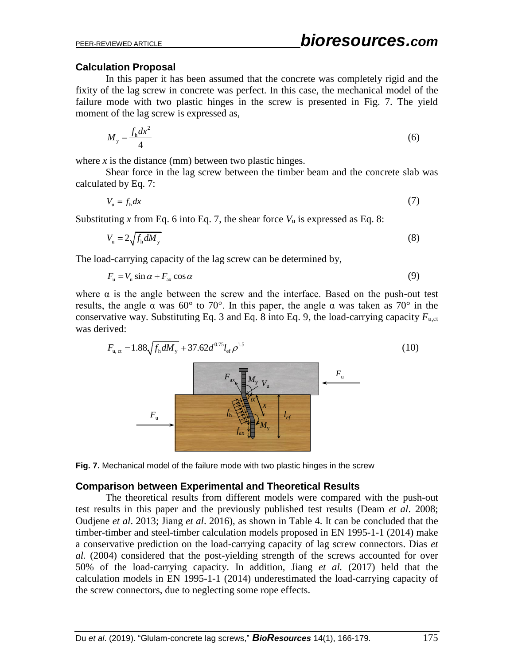## **Calculation Proposal**

In this paper it has been assumed that the concrete was completely rigid and the fixity of the lag screw in concrete was perfect. In this case, the mechanical model of the failure mode with two plastic hinges in the screw is presented in Fig. 7. The yield moment of the lag screw is expressed as,

$$
M_{y} = \frac{f_{h}dx^{2}}{4} \tag{6}
$$

where  $x$  is the distance (mm) between two plastic hinges.

Shear force in the lag screw between the timber beam and the concrete slab was calculated by Eq. 7:

$$
V_{u} = f_{h} dx \tag{7}
$$

Substituting *x* from Eq. 6 into Eq. 7, the shear force  $V_u$  is expressed as Eq. 8:

$$
V_{\rm u} = 2\sqrt{f_{\rm h} dM_{\rm y}}\tag{8}
$$

The load-carrying capacity of the lag screw can be determined by,

$$
F_{u} = V_{u} \sin \alpha + F_{ax} \cos \alpha \tag{9}
$$

where  $\alpha$  is the angle between the screw and the interface. Based on the push-out test results, the angle  $\alpha$  was 60° to 70°. In this paper, the angle  $\alpha$  was taken as 70° in the conservative way. Substituting Eq. 3 and Eq. 8 into Eq. 9, the load-carrying capacity *F*u,ct was derived:

$$
F_{u,ct} = 1.88 \sqrt{f_h dM_y} + 37.62 d^{0.75} l_{ef} \rho^{1.5}
$$
\n
$$
F_{ax} M_y V_u
$$
\n
$$
F_u
$$
\n
$$
F_u
$$
\n
$$
f_h \approx \sqrt{\frac{M_y}{a}} V_u
$$
\n
$$
I_{ef}
$$
\n
$$
I_{ax}
$$
\n
$$
I_{ax}
$$
\n
$$
I_{ay}
$$
\n
$$
I_{af}
$$
\n(10)



#### **Comparison between Experimental and Theoretical Results**

The theoretical results from different models were compared with the push-out test results in this paper and the previously published test results (Deam *et al*. 2008; Oudjene *et al*. 2013; Jiang *et al*. 2016), as shown in Table 4. It can be concluded that the timber-timber and steel-timber calculation models proposed in EN 1995-1-1 (2014) make a conservative prediction on the load-carrying capacity of lag screw connectors. Dias *et al.* (2004) considered that the post-yielding strength of the screws accounted for over 50% of the load-carrying capacity. In addition, Jiang *et al.* (2017) held that the calculation models in EN 1995-1-1 (2014) underestimated the load-carrying capacity of the screw connectors, due to neglecting some rope effects.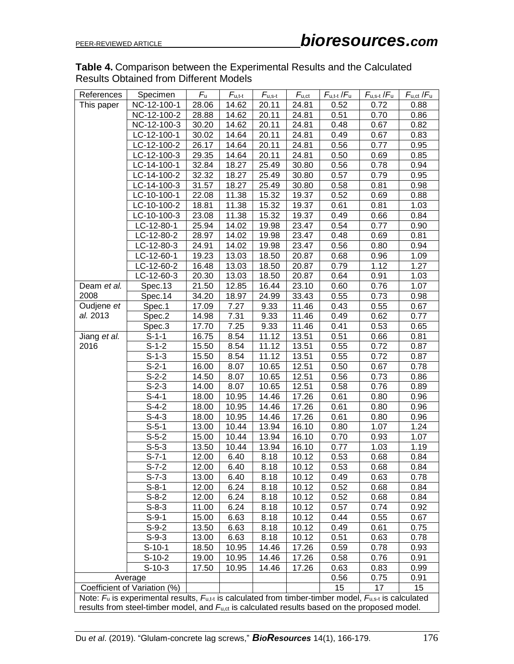## **Table 4.** Comparison between the Experimental Results and the Calculated Results Obtained from Different Models

| References                                                                                                       | Specimen    | $F_u$ | $F_{u,t-t}$ | $F_{u,s-t}$ | $F_{u,ct}$ | $F_{u,t-t}/F_u$ | $F_{u,s\text{-}t}$ / $F_u$ | $F_{u,ct}$ / $F_u$ |
|------------------------------------------------------------------------------------------------------------------|-------------|-------|-------------|-------------|------------|-----------------|----------------------------|--------------------|
| This paper                                                                                                       | NC-12-100-1 | 28.06 | 14.62       | 20.11       | 24.81      | 0.52            | 0.72                       | 0.88               |
|                                                                                                                  | NC-12-100-2 | 28.88 | 14.62       | 20.11       | 24.81      | 0.51            | 0.70                       | 0.86               |
|                                                                                                                  | NC-12-100-3 | 30.20 | 14.62       | 20.11       | 24.81      | 0.48            | 0.67                       | 0.82               |
|                                                                                                                  | LC-12-100-1 | 30.02 | 14.64       | 20.11       | 24.81      | 0.49            | 0.67                       | 0.83               |
|                                                                                                                  | LC-12-100-2 | 26.17 | 14.64       | 20.11       | 24.81      | 0.56            | 0.77                       | 0.95               |
|                                                                                                                  | LC-12-100-3 | 29.35 | 14.64       | 20.11       | 24.81      | 0.50            | 0.69                       | 0.85               |
|                                                                                                                  | LC-14-100-1 | 32.84 | 18.27       | 25.49       | 30.80      | 0.56            | 0.78                       | 0.94               |
|                                                                                                                  | LC-14-100-2 | 32.32 | 18.27       | 25.49       | 30.80      | 0.57            | 0.79                       | 0.95               |
|                                                                                                                  | LC-14-100-3 | 31.57 | 18.27       | 25.49       | 30.80      | 0.58            | 0.81                       | 0.98               |
|                                                                                                                  | LC-10-100-1 | 22.08 | 11.38       | 15.32       | 19.37      | 0.52            | 0.69                       | 0.88               |
|                                                                                                                  | LC-10-100-2 | 18.81 | 11.38       | 15.32       | 19.37      | 0.61            | 0.81                       | 1.03               |
|                                                                                                                  | LC-10-100-3 | 23.08 | 11.38       | 15.32       | 19.37      | 0.49            | 0.66                       | 0.84               |
|                                                                                                                  | LC-12-80-1  | 25.94 | 14.02       | 19.98       | 23.47      | 0.54            | 0.77                       | 0.90               |
|                                                                                                                  | LC-12-80-2  | 28.97 | 14.02       | 19.98       | 23.47      | 0.48            | 0.69                       | 0.81               |
|                                                                                                                  | LC-12-80-3  | 24.91 | 14.02       | 19.98       | 23.47      | 0.56            | 0.80                       | 0.94               |
|                                                                                                                  | LC-12-60-1  | 19.23 | 13.03       | 18.50       | 20.87      | 0.68            | 0.96                       | 1.09               |
|                                                                                                                  | LC-12-60-2  | 16.48 | 13.03       | 18.50       | 20.87      | 0.79            | 1.12                       | 1.27               |
|                                                                                                                  | LC-12-60-3  | 20.30 | 13.03       | 18.50       | 20.87      | 0.64            | 0.91                       | 1.03               |
| Deam et al.                                                                                                      | Spec.13     | 21.50 | 12.85       | 16.44       | 23.10      | 0.60            | 0.76                       | 1.07               |
| 2008                                                                                                             | Spec.14     | 34.20 | 18.97       | 24.99       | 33.43      | 0.55            | 0.73                       | 0.98               |
| Oudjene et                                                                                                       | Spec.1      | 17.09 | 7.27        | 9.33        | 11.46      | 0.43            | 0.55                       | 0.67               |
| al. 2013                                                                                                         | Spec.2      | 14.98 | 7.31        | 9.33        | 11.46      | 0.49            | 0.62                       | 0.77               |
|                                                                                                                  | Spec.3      | 17.70 | 7.25        | 9.33        | 11.46      | 0.41            | 0.53                       | 0.65               |
| Jiang et al.                                                                                                     | $S-1-1$     | 16.75 | 8.54        | 11.12       | 13.51      | 0.51            | 0.66                       | 0.81               |
| 2016                                                                                                             | $S-1-2$     | 15.50 | 8.54        | 11.12       | 13.51      | 0.55            | 0.72                       | 0.87               |
|                                                                                                                  | $S-1-3$     | 15.50 | 8.54        | 11.12       | 13.51      | 0.55            | 0.72                       | 0.87               |
|                                                                                                                  | $S-2-1$     | 16.00 | 8.07        | 10.65       | 12.51      | 0.50            | 0.67                       | 0.78               |
|                                                                                                                  | $S-2-2$     | 14.50 | 8.07        | 10.65       | 12.51      | 0.56            | 0.73                       | 0.86               |
|                                                                                                                  | $S-2-3$     | 14.00 | 8.07        | 10.65       | 12.51      | 0.58            | 0.76                       | 0.89               |
|                                                                                                                  | $S-4-1$     | 18.00 | 10.95       | 14.46       | 17.26      | 0.61            | 0.80                       | 0.96               |
|                                                                                                                  | $S-4-2$     | 18.00 | 10.95       | 14.46       | 17.26      | 0.61            | 0.80                       | 0.96               |
|                                                                                                                  | $S-4-3$     | 18.00 | 10.95       | 14.46       | 17.26      | 0.61            | 0.80                       | 0.96               |
|                                                                                                                  | $S-5-1$     | 13.00 | 10.44       | 13.94       | 16.10      | 0.80            | 1.07                       | 1.24               |
|                                                                                                                  | $S-5-2$     | 15.00 | 10.44       | 13.94       | 16.10      | 0.70            | 0.93                       | 1.07               |
|                                                                                                                  | $S-5-3$     | 13.50 | 10.44       | 13.94       | 16.10      | 0.77            | 1.03                       | 1.19               |
|                                                                                                                  | $S-7-1$     | 12.00 | 6.40        | 8.18        | 10.12      | 0.53            | 0.68                       | 0.84               |
|                                                                                                                  | $S-7-2$     | 12.00 | 6.40        | 8.18        | 10.12      | 0.53            | 0.68                       | 0.84               |
|                                                                                                                  | $S-7-3$     | 13.00 | 6.40        | 8.18        | 10.12      | 0.49            | 0.63                       | 0.78               |
|                                                                                                                  | $S-8-1$     | 12.00 | 6.24        | 8.18        | 10.12      | 0.52            | 0.68                       | 0.84               |
|                                                                                                                  | $S-8-2$     | 12.00 | 6.24        | 8.18        | 10.12      | 0.52            | 0.68                       | 0.84               |
|                                                                                                                  | $S-8-3$     | 11.00 | 6.24        | 8.18        | 10.12      | 0.57            | 0.74                       | 0.92               |
|                                                                                                                  | $S-9-1$     | 15.00 | 6.63        | 8.18        | 10.12      | 0.44            | 0.55                       | 0.67               |
|                                                                                                                  | $S-9-2$     | 13.50 | 6.63        | 8.18        | 10.12      | 0.49            | 0.61                       | 0.75               |
|                                                                                                                  | $S-9-3$     | 13.00 | 6.63        | 8.18        | 10.12      | 0.51            | 0.63                       | 0.78               |
|                                                                                                                  | $S-10-1$    | 18.50 | 10.95       | 14.46       | 17.26      | 0.59            | 0.78                       | 0.93               |
|                                                                                                                  | $S-10-2$    | 19.00 | 10.95       | 14.46       | 17.26      | 0.58            | 0.76                       | 0.91               |
|                                                                                                                  | $S-10-3$    | 17.50 | 10.95       | 14.46       | 17.26      | 0.63            | 0.83                       | 0.99               |
| Average                                                                                                          |             |       |             |             | 0.56       | 0.75            | 0.91                       |                    |
| Coefficient of Variation (%)                                                                                     |             |       |             |             | 15         | 17              | 15                         |                    |
| Note: $F_u$ is experimental results, $F_{u,t}$ is calculated from timber-timber model, $F_{u,s-t}$ is calculated |             |       |             |             |            |                 |                            |                    |
| results from steel-timber model, and $F_{u,ct}$ is calculated results based on the proposed model.               |             |       |             |             |            |                 |                            |                    |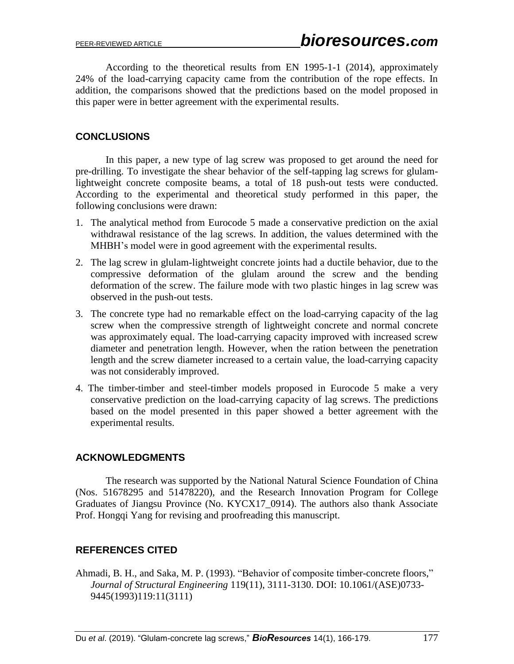According to the theoretical results from EN 1995-1-1 (2014), approximately 24% of the load-carrying capacity came from the contribution of the rope effects. In addition, the comparisons showed that the predictions based on the model proposed in this paper were in better agreement with the experimental results.

## **CONCLUSIONS**

In this paper, a new type of lag screw was proposed to get around the need for pre-drilling. To investigate the shear behavior of the self-tapping lag screws for glulamlightweight concrete composite beams, a total of 18 push-out tests were conducted. According to the experimental and theoretical study performed in this paper, the following conclusions were drawn:

- 1. The analytical method from Eurocode 5 made a conservative prediction on the axial withdrawal resistance of the lag screws. In addition, the values determined with the MHBH's model were in good agreement with the experimental results.
- 2. The lag screw in glulam-lightweight concrete joints had a ductile behavior, due to the compressive deformation of the glulam around the screw and the bending deformation of the screw. The failure mode with two plastic hinges in lag screw was observed in the push-out tests.
- 3. The concrete type had no remarkable effect on the load-carrying capacity of the lag screw when the compressive strength of lightweight concrete and normal concrete was approximately equal. The load-carrying capacity improved with increased screw diameter and penetration length. However, when the ration between the penetration length and the screw diameter increased to a certain value, the load-carrying capacity was not considerably improved.
- 4. The timber-timber and steel-timber models proposed in Eurocode 5 make a very conservative prediction on the load-carrying capacity of lag screws. The predictions based on the model presented in this paper showed a better agreement with the experimental results.

## **ACKNOWLEDGMENTS**

The research was supported by the National Natural Science Foundation of China (Nos. 51678295 and 51478220), and the Research Innovation Program for College Graduates of Jiangsu Province (No. KYCX17\_0914). The authors also thank Associate Prof. Hongqi Yang for revising and proofreading this manuscript.

# **REFERENCES CITED**

Ahmadi, B. H., and Saka, M. P. (1993). "Behavior of composite timber-concrete floors," *Journal of Structural Engineering* 119(11), 3111-3130. DOI: 10.1061/(ASE)0733- 9445(1993)119:11(3111)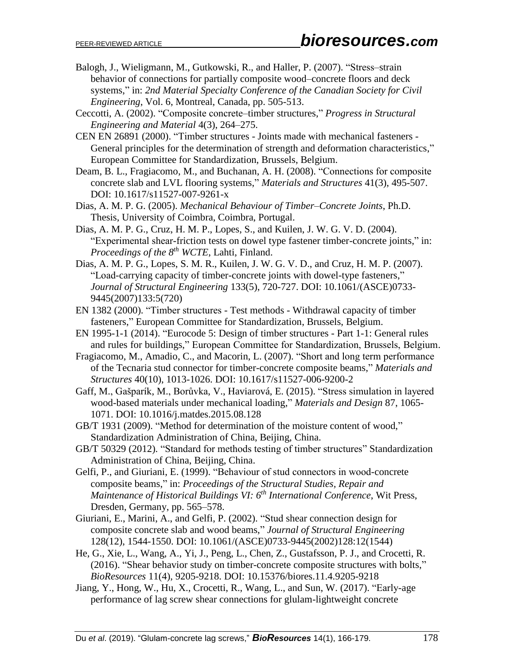- Balogh, J., Wieligmann, M., Gutkowski, R., and Haller, P. (2007). "Stress–strain behavior of connections for partially composite wood–concrete floors and deck systems," in: *2nd Material Specialty Conference of the Canadian Society for Civil Engineering*, Vol. 6, Montreal, Canada, pp. 505-513.
- Ceccotti, A. (2002). "Composite concrete–timber structures," *Progress in Structural Engineering and Material* 4(3), 264–275.
- CEN EN 26891 (2000). "Timber structures Joints made with mechanical fasteners General principles for the determination of strength and deformation characteristics," European Committee for Standardization, Brussels, Belgium.
- Deam, B. L., Fragiacomo, M., and Buchanan, A. H. (2008). "Connections for composite concrete slab and LVL flooring systems," *Materials and Structures* 41(3), 495-507. DOI: 10.1617/s11527-007-9261-x
- Dias, A. M. P. G. (2005). *Mechanical Behaviour of Timber–Concrete Joints*, Ph.D. Thesis, University of Coimbra, Coimbra, Portugal.
- Dias, A. M. P. G., Cruz, H. M. P., Lopes, S., and Kuilen, J. W. G. V. D. (2004). "Experimental shear-friction tests on dowel type fastener timber-concrete joints," in: *Proceedings of the 8 th WCTE*, Lahti, Finland.
- Dias, A. M. P. G., Lopes, S. M. R., Kuilen, J. W. G. V. D., and Cruz, H. M. P. (2007). "Load-carrying capacity of timber-concrete joints with dowel-type fasteners," *Journal of Structural Engineering* 133(5), 720-727. DOI: 10.1061/(ASCE)0733- 9445(2007)133:5(720)
- EN 1382 (2000). "Timber structures Test methods Withdrawal capacity of timber fasteners," European Committee for Standardization, Brussels, Belgium.
- EN 1995-1-1 (2014). "Eurocode 5: Design of timber structures Part 1-1: General rules and rules for buildings," European Committee for Standardization, Brussels, Belgium.
- Fragiacomo, M., Amadio, C., and Macorin, L. (2007). "Short and long term performance of the Tecnaria stud connector for timber-concrete composite beams," *Materials and Structures* 40(10), 1013-1026. DOI: 10.1617/s11527-006-9200-2
- Gaff, M., Gašparík, M., Borůvka, V., Haviarová, E. (2015). "Stress simulation in layered wood-based materials under mechanical loading," *Materials and Design* 87, 1065- 1071. DOI: 10.1016/j.matdes.2015.08.128
- GB/T 1931 (2009). "Method for determination of the moisture content of wood," Standardization Administration of China, Beijing, China.
- GB/T 50329 (2012). "Standard for methods testing of timber structures" Standardization Administration of China, Beijing, China.
- Gelfi, P., and Giuriani, E. (1999). "Behaviour of stud connectors in wood-concrete composite beams," in: *Proceedings of the Structural Studies, Repair and Maintenance of Historical Buildings VI: 6th International Conference*, Wit Press, Dresden, Germany, pp. 565–578.
- Giuriani, E., Marini, A., and Gelfi, P. (2002). "Stud shear connection design for composite concrete slab and wood beams," *Journal of Structural Engineering* 128(12), 1544-1550. DOI: 10.1061/(ASCE)0733-9445(2002)128:12(1544)
- He, G., Xie, L., Wang, A., Yi, J., Peng, L., Chen, Z., Gustafsson, P. J., and Crocetti, R. (2016). "Shear behavior study on timber-concrete composite structures with bolts," *BioResources* 11(4), 9205-9218. DOI: 10.15376/biores.11.4.9205-9218
- Jiang, Y., Hong, W., Hu, X., Crocetti, R., Wang, L., and Sun, W. (2017). "Early-age performance of lag screw shear connections for glulam-lightweight concrete